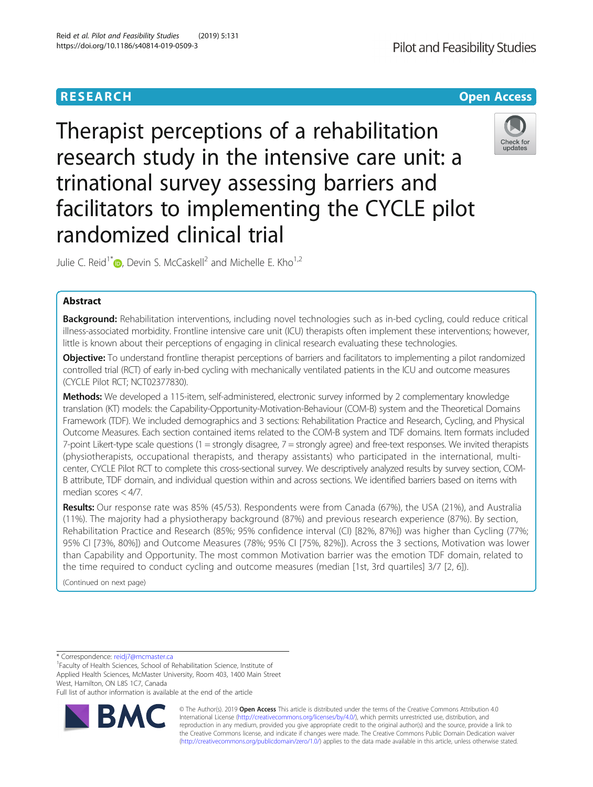# **RESEARCH CHE Open Access**

Therapist perceptions of a rehabilitation research study in the intensive care unit: a trinational survey assessing barriers and facilitators to implementing the CYCLE pilot randomized clinical trial

Julie C. Reid<sup>1\*</sup> $\omega$ . Devin S. McCaskell<sup>2</sup> and Michelle E. Kho<sup>1[,](http://orcid.org/0000-0002-1424-3105)2</sup>

# Abstract

Background: Rehabilitation interventions, including novel technologies such as in-bed cycling, could reduce critical illness-associated morbidity. Frontline intensive care unit (ICU) therapists often implement these interventions; however, little is known about their perceptions of engaging in clinical research evaluating these technologies.

Objective: To understand frontline therapist perceptions of barriers and facilitators to implementing a pilot randomized controlled trial (RCT) of early in-bed cycling with mechanically ventilated patients in the ICU and outcome measures (CYCLE Pilot RCT; NCT02377830).

Methods: We developed a 115-item, self-administered, electronic survey informed by 2 complementary knowledge translation (KT) models: the Capability-Opportunity-Motivation-Behaviour (COM-B) system and the Theoretical Domains Framework (TDF). We included demographics and 3 sections: Rehabilitation Practice and Research, Cycling, and Physical Outcome Measures. Each section contained items related to the COM-B system and TDF domains. Item formats included 7-point Likert-type scale questions (1 = strongly disagree, 7 = strongly agree) and free-text responses. We invited therapists (physiotherapists, occupational therapists, and therapy assistants) who participated in the international, multicenter, CYCLE Pilot RCT to complete this cross-sectional survey. We descriptively analyzed results by survey section, COM-B attribute, TDF domain, and individual question within and across sections. We identified barriers based on items with median scores < 4/7.

Results: Our response rate was 85% (45/53). Respondents were from Canada (67%), the USA (21%), and Australia (11%). The majority had a physiotherapy background (87%) and previous research experience (87%). By section, Rehabilitation Practice and Research (85%; 95% confidence interval (CI) [82%, 87%]) was higher than Cycling (77%; 95% CI [73%, 80%]) and Outcome Measures (78%; 95% CI [75%, 82%]). Across the 3 sections, Motivation was lower than Capability and Opportunity. The most common Motivation barrier was the emotion TDF domain, related to the time required to conduct cycling and outcome measures (median [1st, 3rd quartiles] 3/7 [2, 6]).

(Continued on next page)

\* Correspondence: [reidj7@mcmaster.ca](mailto:reidj7@mcmaster.ca) <sup>1</sup>

<sup>1</sup>Faculty of Health Sciences, School of Rehabilitation Science, Institute of Applied Health Sciences, McMaster University, Room 403, 1400 Main Street West, Hamilton, ON L8S 1C7, Canada

Full list of author information is available at the end of the article





undates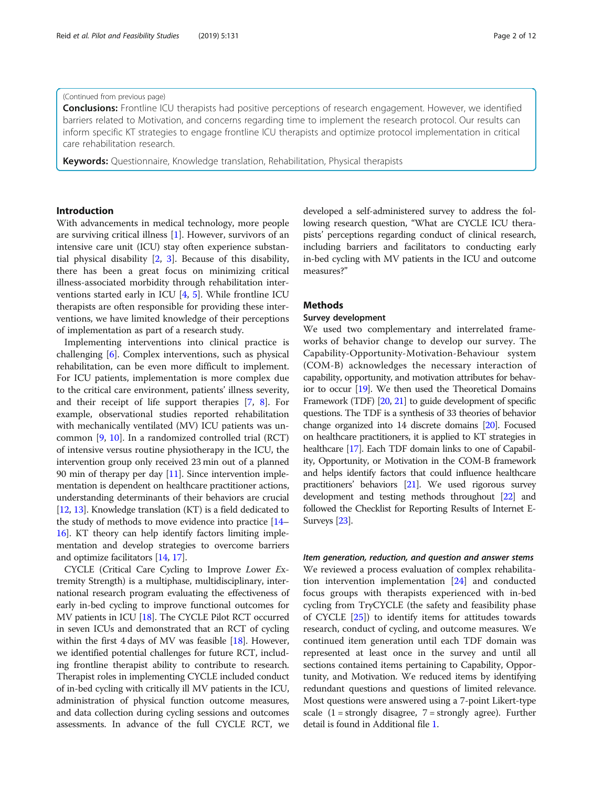### (Continued from previous page)

**Conclusions:** Frontline ICU therapists had positive perceptions of research engagement. However, we identified barriers related to Motivation, and concerns regarding time to implement the research protocol. Our results can inform specific KT strategies to engage frontline ICU therapists and optimize protocol implementation in critical care rehabilitation research.

Keywords: Questionnaire, Knowledge translation, Rehabilitation, Physical therapists

# Introduction

With advancements in medical technology, more people are surviving critical illness [[1](#page-10-0)]. However, survivors of an intensive care unit (ICU) stay often experience substantial physical disability [[2,](#page-10-0) [3](#page-10-0)]. Because of this disability, there has been a great focus on minimizing critical illness-associated morbidity through rehabilitation interventions started early in ICU [\[4,](#page-10-0) [5](#page-10-0)]. While frontline ICU therapists are often responsible for providing these interventions, we have limited knowledge of their perceptions of implementation as part of a research study.

Implementing interventions into clinical practice is challenging [[6\]](#page-10-0). Complex interventions, such as physical rehabilitation, can be even more difficult to implement. For ICU patients, implementation is more complex due to the critical care environment, patients' illness severity, and their receipt of life support therapies [[7](#page-10-0), [8\]](#page-10-0). For example, observational studies reported rehabilitation with mechanically ventilated (MV) ICU patients was uncommon [[9,](#page-10-0) [10\]](#page-10-0). In a randomized controlled trial (RCT) of intensive versus routine physiotherapy in the ICU, the intervention group only received 23 min out of a planned 90 min of therapy per day [[11](#page-10-0)]. Since intervention implementation is dependent on healthcare practitioner actions, understanding determinants of their behaviors are crucial [[12](#page-10-0), [13\]](#page-10-0). Knowledge translation (KT) is a field dedicated to the study of methods to move evidence into practice [\[14](#page-10-0)– [16](#page-11-0)]. KT theory can help identify factors limiting implementation and develop strategies to overcome barriers and optimize facilitators [[14](#page-10-0), [17\]](#page-11-0).

CYCLE (Critical Care Cycling to Improve Lower Extremity Strength) is a multiphase, multidisciplinary, international research program evaluating the effectiveness of early in-bed cycling to improve functional outcomes for MV patients in ICU [[18](#page-11-0)]. The CYCLE Pilot RCT occurred in seven ICUs and demonstrated that an RCT of cycling within the first 4 days of MV was feasible [\[18\]](#page-11-0). However, we identified potential challenges for future RCT, including frontline therapist ability to contribute to research. Therapist roles in implementing CYCLE included conduct of in-bed cycling with critically ill MV patients in the ICU, administration of physical function outcome measures, and data collection during cycling sessions and outcomes assessments. In advance of the full CYCLE RCT, we

developed a self-administered survey to address the following research question, "What are CYCLE ICU therapists' perceptions regarding conduct of clinical research, including barriers and facilitators to conducting early in-bed cycling with MV patients in the ICU and outcome measures?"

# Methods

### Survey development

We used two complementary and interrelated frameworks of behavior change to develop our survey. The Capability-Opportunity-Motivation-Behaviour system (COM-B) acknowledges the necessary interaction of capability, opportunity, and motivation attributes for behavior to occur [[19](#page-11-0)]. We then used the Theoretical Domains Framework (TDF) [\[20,](#page-11-0) [21\]](#page-11-0) to guide development of specific questions. The TDF is a synthesis of 33 theories of behavior change organized into 14 discrete domains [[20](#page-11-0)]. Focused on healthcare practitioners, it is applied to KT strategies in healthcare [\[17](#page-11-0)]. Each TDF domain links to one of Capability, Opportunity, or Motivation in the COM-B framework and helps identify factors that could influence healthcare practitioners' behaviors [[21](#page-11-0)]. We used rigorous survey development and testing methods throughout [[22](#page-11-0)] and followed the Checklist for Reporting Results of Internet E-Surveys [\[23\]](#page-11-0).

Item generation, reduction, and question and answer stems We reviewed a process evaluation of complex rehabilitation intervention implementation [\[24](#page-11-0)] and conducted focus groups with therapists experienced with in-bed cycling from TryCYCLE (the safety and feasibility phase of CYCLE [\[25](#page-11-0)]) to identify items for attitudes towards research, conduct of cycling, and outcome measures. We continued item generation until each TDF domain was represented at least once in the survey and until all sections contained items pertaining to Capability, Opportunity, and Motivation. We reduced items by identifying redundant questions and questions of limited relevance. Most questions were answered using a 7-point Likert-type scale  $(1 =$  strongly disagree,  $7 =$  strongly agree). Further detail is found in Additional file [1.](#page-10-0)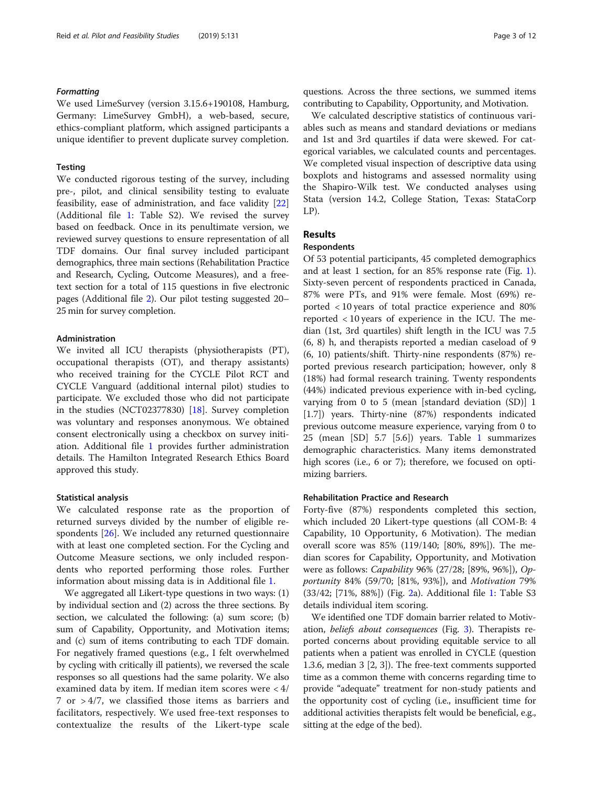### Formatting

We used LimeSurvey (version 3.15.6+190108, Hamburg, Germany: LimeSurvey GmbH), a web-based, secure, ethics-compliant platform, which assigned participants a unique identifier to prevent duplicate survey completion.

## **Testing**

We conducted rigorous testing of the survey, including pre-, pilot, and clinical sensibility testing to evaluate feasibility, ease of administration, and face validity [[22](#page-11-0)] (Additional file [1](#page-10-0): Table S2). We revised the survey based on feedback. Once in its penultimate version, we reviewed survey questions to ensure representation of all TDF domains. Our final survey included participant demographics, three main sections (Rehabilitation Practice and Research, Cycling, Outcome Measures), and a freetext section for a total of 115 questions in five electronic pages (Additional file [2\)](#page-10-0). Our pilot testing suggested 20– 25 min for survey completion.

### Administration

We invited all ICU therapists (physiotherapists (PT), occupational therapists (OT), and therapy assistants) who received training for the CYCLE Pilot RCT and CYCLE Vanguard (additional internal pilot) studies to participate. We excluded those who did not participate in the studies (NCT02377830) [\[18\]](#page-11-0). Survey completion was voluntary and responses anonymous. We obtained consent electronically using a checkbox on survey initiation. Additional file [1](#page-10-0) provides further administration details. The Hamilton Integrated Research Ethics Board approved this study.

### Statistical analysis

We calculated response rate as the proportion of returned surveys divided by the number of eligible respondents [[26](#page-11-0)]. We included any returned questionnaire with at least one completed section. For the Cycling and Outcome Measure sections, we only included respondents who reported performing those roles. Further information about missing data is in Additional file [1.](#page-10-0)

We aggregated all Likert-type questions in two ways: (1) by individual section and (2) across the three sections. By section, we calculated the following: (a) sum score; (b) sum of Capability, Opportunity, and Motivation items; and (c) sum of items contributing to each TDF domain. For negatively framed questions (e.g., I felt overwhelmed by cycling with critically ill patients), we reversed the scale responses so all questions had the same polarity. We also examined data by item. If median item scores were < 4/ 7 or > 4/7, we classified those items as barriers and facilitators, respectively. We used free-text responses to contextualize the results of the Likert-type scale questions. Across the three sections, we summed items contributing to Capability, Opportunity, and Motivation.

We calculated descriptive statistics of continuous variables such as means and standard deviations or medians and 1st and 3rd quartiles if data were skewed. For categorical variables, we calculated counts and percentages. We completed visual inspection of descriptive data using boxplots and histograms and assessed normality using the Shapiro-Wilk test. We conducted analyses using Stata (version 14.2, College Station, Texas: StataCorp LP).

# Results

# **Respondents**

Of 53 potential participants, 45 completed demographics and at least 1 section, for an 85% response rate (Fig. [1](#page-3-0)). Sixty-seven percent of respondents practiced in Canada, 87% were PTs, and 91% were female. Most (69%) reported < 10 years of total practice experience and 80% reported < 10 years of experience in the ICU. The median (1st, 3rd quartiles) shift length in the ICU was 7.5 (6, 8) h, and therapists reported a median caseload of 9 (6, 10) patients/shift. Thirty-nine respondents (87%) reported previous research participation; however, only 8 (18%) had formal research training. Twenty respondents (44%) indicated previous experience with in-bed cycling, varying from 0 to 5 (mean [standard deviation (SD)] 1 [1.7]) years. Thirty-nine (87%) respondents indicated previous outcome measure experience, varying from 0 to 25 (mean [SD] 5.7 [5.6]) years. Table [1](#page-4-0) summarizes demographic characteristics. Many items demonstrated high scores (i.e., 6 or 7); therefore, we focused on optimizing barriers.

### Rehabilitation Practice and Research

Forty-five (87%) respondents completed this section, which included 20 Likert-type questions (all COM-B: 4 Capability, 10 Opportunity, 6 Motivation). The median overall score was 85% (119/140; [80%, 89%]). The median scores for Capability, Opportunity, and Motivation were as follows: Capability 96% (27/28; [89%, 96%]), Opportunity 84% (59/70; [81%, 93%]), and Motivation 79% (33/42; [71%, 88%]) (Fig. [2](#page-5-0)a). Additional file [1](#page-10-0): Table S3 details individual item scoring.

We identified one TDF domain barrier related to Motivation, beliefs about consequences (Fig. [3\)](#page-6-0). Therapists reported concerns about providing equitable service to all patients when a patient was enrolled in CYCLE (question 1.3.6, median 3 [2, 3]). The free-text comments supported time as a common theme with concerns regarding time to provide "adequate" treatment for non-study patients and the opportunity cost of cycling (i.e., insufficient time for additional activities therapists felt would be beneficial, e.g., sitting at the edge of the bed).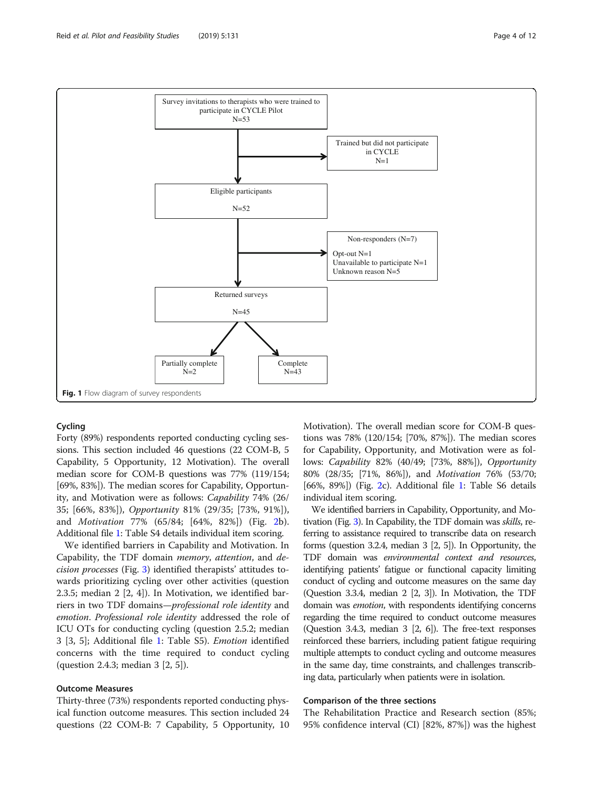<span id="page-3-0"></span>

# Cycling

Forty (89%) respondents reported conducting cycling sessions. This section included 46 questions (22 COM-B, 5 Capability, 5 Opportunity, 12 Motivation). The overall median score for COM-B questions was 77% (119/154; [69%, 83%]). The median scores for Capability, Opportunity, and Motivation were as follows: Capability 74% (26/ 35; [66%, 83%]), Opportunity 81% (29/35; [73%, 91%]), and Motivation 77% (65/84; [64%, 82%]) (Fig. [2b](#page-5-0)). Additional file [1](#page-10-0): Table S4 details individual item scoring.

We identified barriers in Capability and Motivation. In Capability, the TDF domain memory, attention, and decision processes (Fig. [3\)](#page-6-0) identified therapists' attitudes towards prioritizing cycling over other activities (question 2.3.5; median 2 [2, 4]). In Motivation, we identified barriers in two TDF domains—professional role identity and emotion. Professional role identity addressed the role of ICU OTs for conducting cycling (question 2.5.2; median 3 [3, 5]; Additional file [1](#page-10-0): Table S5). Emotion identified concerns with the time required to conduct cycling (question 2.4.3; median 3 [2, 5]).

# Outcome Measures

Thirty-three (73%) respondents reported conducting physical function outcome measures. This section included 24 questions (22 COM-B: 7 Capability, 5 Opportunity, 10 Motivation). The overall median score for COM-B questions was 78% (120/154; [70%, 87%]). The median scores for Capability, Opportunity, and Motivation were as follows: Capability 82% (40/49; [73%, 88%]), Opportunity 80% (28/35; [71%, 86%]), and Motivation 76% (53/70; [66%, 89%]) (Fig. [2c](#page-5-0)). Additional file [1:](#page-10-0) Table S6 details individual item scoring.

We identified barriers in Capability, Opportunity, and Motivation (Fig. [3\)](#page-6-0). In Capability, the TDF domain was skills, referring to assistance required to transcribe data on research forms (question 3.2.4, median 3 [2, 5]). In Opportunity, the TDF domain was environmental context and resources, identifying patients' fatigue or functional capacity limiting conduct of cycling and outcome measures on the same day (Question 3.3.4, median 2 [2, 3]). In Motivation, the TDF domain was *emotion*, with respondents identifying concerns regarding the time required to conduct outcome measures (Question 3.4.3, median 3 [2, 6]). The free-text responses reinforced these barriers, including patient fatigue requiring multiple attempts to conduct cycling and outcome measures in the same day, time constraints, and challenges transcribing data, particularly when patients were in isolation.

# Comparison of the three sections

The Rehabilitation Practice and Research section (85%; 95% confidence interval (CI) [82%, 87%]) was the highest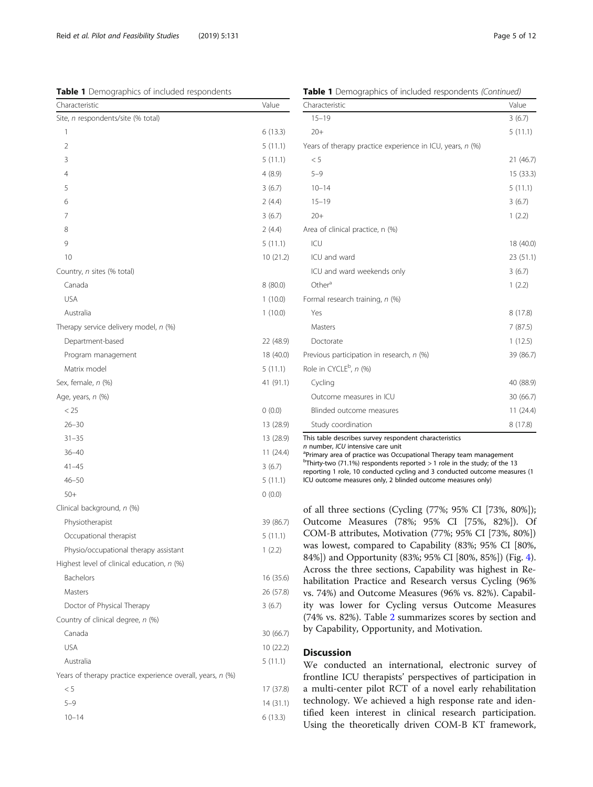<span id="page-4-0"></span>Table 1 Demographics of included respondents

|  |  | Table 1 Demographics of included respondents (Continued) |  |  |
|--|--|----------------------------------------------------------|--|--|
|  |  |                                                          |  |  |

| Pennographies of included respondents                      |           |
|------------------------------------------------------------|-----------|
| Characteristic                                             | Value     |
| Site, n respondents/site (% total)                         |           |
| 1                                                          | 6(13.3)   |
| $\overline{2}$                                             | 5(11.1)   |
| 3                                                          | 5(11.1)   |
| 4                                                          | 4(8.9)    |
| 5                                                          | 3(6.7)    |
| 6                                                          | 2(4.4)    |
| 7                                                          | 3(6.7)    |
| 8                                                          | 2(4.4)    |
| 9                                                          | 5 (11.1)  |
| 10                                                         | 10(21.2)  |
| Country, n sites (% total)                                 |           |
| Canada                                                     | 8(80.0)   |
| <b>USA</b>                                                 | 1(10.0)   |
| Australia                                                  | 1(10.0)   |
| Therapy service delivery model, n (%)                      |           |
| Department-based                                           | 22 (48.9) |
| Program management                                         | 18 (40.0) |
| Matrix model                                               | 5(11.1)   |
| Sex, female, n (%)                                         | 41 (91.1) |
| Age, years, n (%)                                          |           |
| $<$ 25                                                     | 0(0.0)    |
| $26 - 30$                                                  | 13 (28.9) |
| $31 - 35$                                                  | 13 (28.9) |
| $36 - 40$                                                  | 11 (24.4) |
| $41 - 45$                                                  | 3(6.7)    |
| $46 - 50$                                                  | 5(11.1)   |
| $50+$                                                      | (0.0)     |
| Clinical background, n (%)                                 |           |
| Physiotherapist                                            | 39 (86.7) |
| Occupational therapist                                     | 5 (11.1)  |
| Physio/occupational therapy assistant                      | 1(2.2)    |
| Highest level of clinical education, n (%)                 |           |
| Bachelors                                                  | 16 (35.6) |
| Masters                                                    | 26 (57.8) |
| Doctor of Physical Therapy                                 | 3(6.7)    |
| Country of clinical degree, n (%)                          |           |
| Canada                                                     | 30 (66.7) |
| <b>USA</b>                                                 | 10(22.2)  |
| Australia                                                  | 5(11.1)   |
| Years of therapy practice experience overall, years, n (%) |           |
| < 5                                                        | 17 (37.8) |
| $5 - 9$                                                    | 14 (31.1) |
| $10 - 14$                                                  | 6 (13.3)  |
|                                                            |           |

| Characteristic                                            | Value     |
|-----------------------------------------------------------|-----------|
| $15 - 19$                                                 | 3(6.7)    |
| $20+$                                                     | 5(11.1)   |
| Years of therapy practice experience in ICU, years, n (%) |           |
| < 5                                                       | 21(46.7)  |
| $5 - 9$                                                   | 15(33.3)  |
| $10 - 14$                                                 | 5(11.1)   |
| $15 - 19$                                                 | 3(6.7)    |
| $20+$                                                     | 1(2.2)    |
| Area of clinical practice, n (%)                          |           |
| C                                                         | 18 (40.0) |
| ICU and ward                                              | 23(51.1)  |
| ICU and ward weekends only                                | 3(6.7)    |
| Other <sup>a</sup>                                        | 1(2.2)    |
| Formal research training, n (%)                           |           |
| Yes                                                       | 8(17.8)   |
| Masters                                                   | 7(87.5)   |
| Doctorate                                                 | 1(12.5)   |
| Previous participation in research, n (%)                 | 39 (86.7) |
| Role in CYCLE <sup>b</sup> , n (%)                        |           |
| Cycling                                                   | 40 (88.9) |
| Outcome measures in ICU                                   | 30(66.7)  |
| Blinded outcome measures                                  | 11(24.4)  |
| Study coordination                                        | 8(17.8)   |

This table describes survey respondent characteristics

 $n$  number, ICU intensive care unit

<sup>a</sup>Primary area of practice was Occupational Therapy team management

 $<sup>b</sup>$ Thirty-two (71.1%) respondents reported > 1 role in the study; of the 13</sup>

reporting 1 role, 10 conducted cycling and 3 conducted outcome measures (1 ICU outcome measures only, 2 blinded outcome measures only)

of all three sections (Cycling (77%; 95% CI [73%, 80%]); Outcome Measures (78%; 95% CI [75%, 82%]). Of COM-B attributes, Motivation (77%; 95% CI [73%, 80%]) was lowest, compared to Capability (83%; 95% CI [80%, 84%]) and Opportunity (83%; 95% CI [80%, 85%]) (Fig. [4](#page-6-0)). Across the three sections, Capability was highest in Rehabilitation Practice and Research versus Cycling (96% vs. 74%) and Outcome Measures (96% vs. 82%). Capability was lower for Cycling versus Outcome Measures (74% vs. 82%). Table [2](#page-7-0) summarizes scores by section and by Capability, Opportunity, and Motivation.

## **Discussion**

We conducted an international, electronic survey of frontline ICU therapists' perspectives of participation in a multi-center pilot RCT of a novel early rehabilitation technology. We achieved a high response rate and identified keen interest in clinical research participation. Using the theoretically driven COM-B KT framework,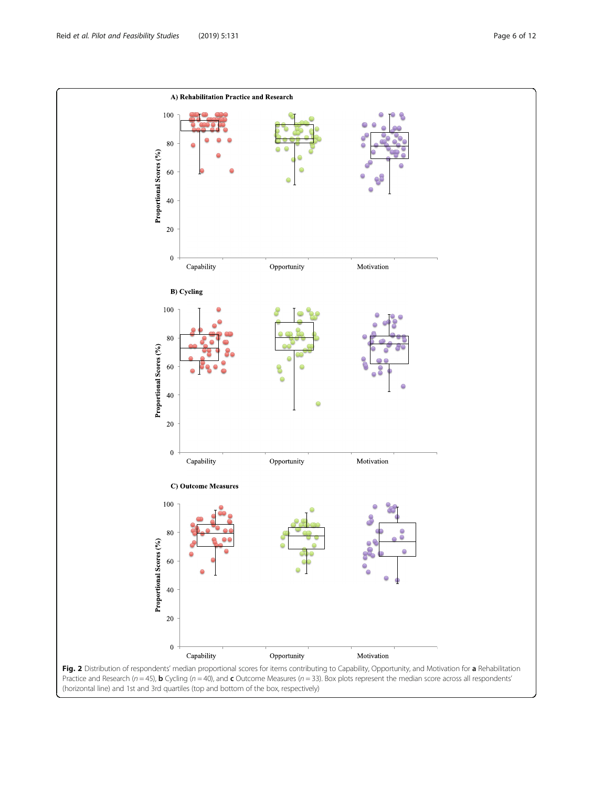<span id="page-5-0"></span>

(horizontal line) and 1st and 3rd quartiles (top and bottom of the box, respectively)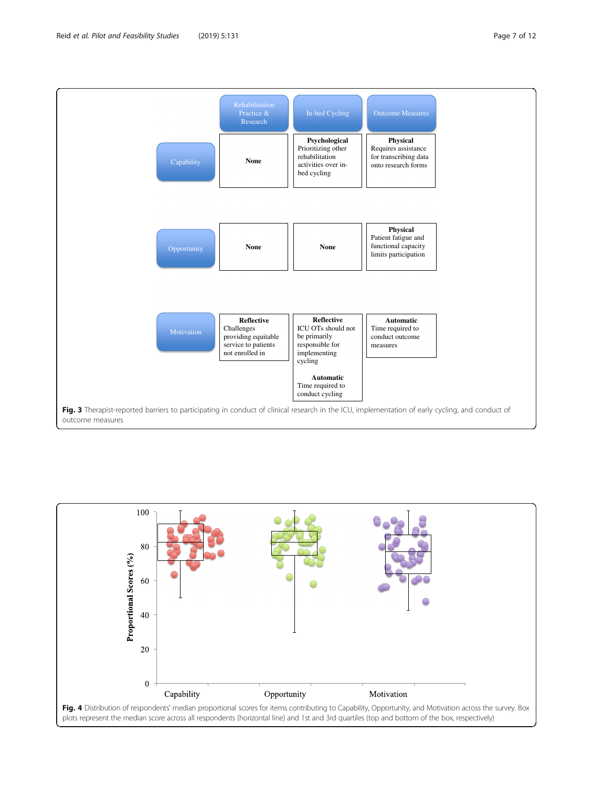<span id="page-6-0"></span>

Practice & Research

**Psychological**

**Physical**

In-bed Cycling **Outcome Measures** 

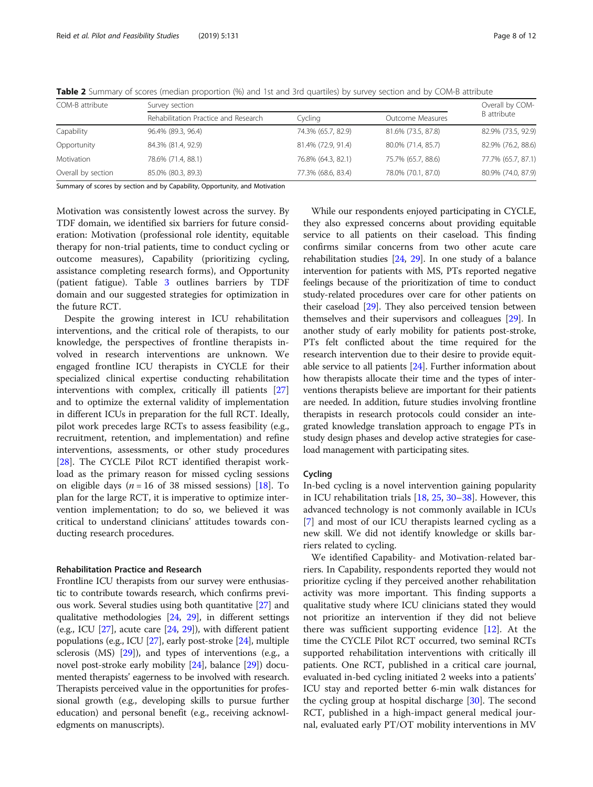| COM-B attribute    | Survey section                       | Overall by COM-    |                    |                    |  |
|--------------------|--------------------------------------|--------------------|--------------------|--------------------|--|
|                    | Rehabilitation Practice and Research | Cycling            | Outcome Measures   | <b>B</b> attribute |  |
| Capability         | 96.4% (89.3, 96.4)                   | 74.3% (65.7, 82.9) | 81.6% (73.5, 87.8) | 82.9% (73.5, 92.9) |  |
| Opportunity        | 84.3% (81.4, 92.9)                   | 81.4% (72.9, 91.4) | 80.0% (71.4, 85.7) | 82.9% (76.2, 88.6) |  |
| Motivation         | 78.6% (71.4, 88.1)                   | 76.8% (64.3, 82.1) | 75.7% (65.7, 88.6) | 77.7% (65.7, 87.1) |  |
| Overall by section | 85.0% (80.3, 89.3)                   | 77.3% (68.6, 83.4) | 78.0% (70.1, 87.0) | 80.9% (74.0, 87.9) |  |

<span id="page-7-0"></span>Table 2 Summary of scores (median proportion (%) and 1st and 3rd quartiles) by survey section and by COM-B attribute

Summary of scores by section and by Capability, Opportunity, and Motivation

Motivation was consistently lowest across the survey. By TDF domain, we identified six barriers for future consideration: Motivation (professional role identity, equitable therapy for non-trial patients, time to conduct cycling or outcome measures), Capability (prioritizing cycling, assistance completing research forms), and Opportunity (patient fatigue). Table [3](#page-8-0) outlines barriers by TDF domain and our suggested strategies for optimization in the future RCT.

Despite the growing interest in ICU rehabilitation interventions, and the critical role of therapists, to our knowledge, the perspectives of frontline therapists involved in research interventions are unknown. We engaged frontline ICU therapists in CYCLE for their specialized clinical expertise conducting rehabilitation interventions with complex, critically ill patients [[27](#page-11-0)] and to optimize the external validity of implementation in different ICUs in preparation for the full RCT. Ideally, pilot work precedes large RCTs to assess feasibility (e.g., recruitment, retention, and implementation) and refine interventions, assessments, or other study procedures [[28\]](#page-11-0). The CYCLE Pilot RCT identified therapist workload as the primary reason for missed cycling sessions on eligible days ( $n = 16$  of 38 missed sessions) [[18](#page-11-0)]. To plan for the large RCT, it is imperative to optimize intervention implementation; to do so, we believed it was critical to understand clinicians' attitudes towards conducting research procedures.

# Rehabilitation Practice and Research

Frontline ICU therapists from our survey were enthusiastic to contribute towards research, which confirms previous work. Several studies using both quantitative [\[27\]](#page-11-0) and qualitative methodologies [\[24](#page-11-0), [29](#page-11-0)], in different settings (e.g., ICU  $[27]$  $[27]$  $[27]$ , acute care  $[24, 29]$  $[24, 29]$  $[24, 29]$  $[24, 29]$ ), with different patient populations (e.g., ICU [[27](#page-11-0)], early post-stroke [[24](#page-11-0)], multiple sclerosis (MS) [\[29](#page-11-0)]), and types of interventions (e.g., a novel post-stroke early mobility [[24](#page-11-0)], balance [[29](#page-11-0)]) documented therapists' eagerness to be involved with research. Therapists perceived value in the opportunities for professional growth (e.g., developing skills to pursue further education) and personal benefit (e.g., receiving acknowledgments on manuscripts).

While our respondents enjoyed participating in CYCLE, they also expressed concerns about providing equitable service to all patients on their caseload. This finding confirms similar concerns from two other acute care rehabilitation studies [[24](#page-11-0), [29](#page-11-0)]. In one study of a balance intervention for patients with MS, PTs reported negative feelings because of the prioritization of time to conduct study-related procedures over care for other patients on their caseload [[29\]](#page-11-0). They also perceived tension between themselves and their supervisors and colleagues [[29\]](#page-11-0). In another study of early mobility for patients post-stroke, PTs felt conflicted about the time required for the research intervention due to their desire to provide equitable service to all patients  $[24]$  $[24]$  $[24]$ . Further information about how therapists allocate their time and the types of interventions therapists believe are important for their patients are needed. In addition, future studies involving frontline therapists in research protocols could consider an integrated knowledge translation approach to engage PTs in study design phases and develop active strategies for caseload management with participating sites.

### Cycling

In-bed cycling is a novel intervention gaining popularity in ICU rehabilitation trials [[18,](#page-11-0) [25,](#page-11-0) [30](#page-11-0)–[38](#page-11-0)]. However, this advanced technology is not commonly available in ICUs [[7\]](#page-10-0) and most of our ICU therapists learned cycling as a new skill. We did not identify knowledge or skills barriers related to cycling.

We identified Capability- and Motivation-related barriers. In Capability, respondents reported they would not prioritize cycling if they perceived another rehabilitation activity was more important. This finding supports a qualitative study where ICU clinicians stated they would not prioritize an intervention if they did not believe there was sufficient supporting evidence  $[12]$ . At the time the CYCLE Pilot RCT occurred, two seminal RCTs supported rehabilitation interventions with critically ill patients. One RCT, published in a critical care journal, evaluated in-bed cycling initiated 2 weeks into a patients' ICU stay and reported better 6-min walk distances for the cycling group at hospital discharge [[30\]](#page-11-0). The second RCT, published in a high-impact general medical journal, evaluated early PT/OT mobility interventions in MV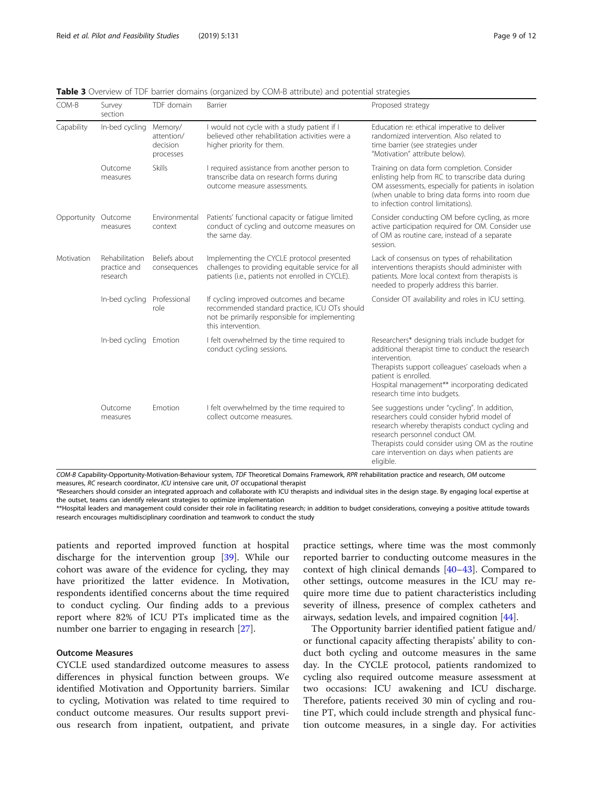| COM-B       | Survey<br>section                          | TDF domain                                     | Barrier                                                                                                                                                         | Proposed strategy                                                                                                                                                                                                                                                                                 |
|-------------|--------------------------------------------|------------------------------------------------|-----------------------------------------------------------------------------------------------------------------------------------------------------------------|---------------------------------------------------------------------------------------------------------------------------------------------------------------------------------------------------------------------------------------------------------------------------------------------------|
| Capability  | In-bed cycling                             | Memory/<br>attention/<br>decision<br>processes | I would not cycle with a study patient if I<br>believed other rehabilitation activities were a<br>higher priority for them.                                     | Education re: ethical imperative to deliver<br>randomized intervention. Also related to<br>time barrier (see strategies under<br>"Motivation" attribute below).                                                                                                                                   |
|             | Outcome<br>measures                        | <b>Skills</b>                                  | I required assistance from another person to<br>transcribe data on research forms during<br>outcome measure assessments.                                        | Training on data form completion. Consider<br>enlisting help from RC to transcribe data during<br>OM assessments, especially for patients in isolation<br>(when unable to bring data forms into room due<br>to infection control limitations).                                                    |
| Opportunity | Outcome<br>measures                        | Environmental<br>context                       | Patients' functional capacity or fatigue limited<br>conduct of cycling and outcome measures on<br>the same day.                                                 | Consider conducting OM before cycling, as more<br>active participation required for OM. Consider use<br>of OM as routine care, instead of a separate<br>session.                                                                                                                                  |
| Motivation  | Rehabilitation<br>practice and<br>research | Beliefs about<br>consequences                  | Implementing the CYCLE protocol presented<br>challenges to providing equitable service for all<br>patients (i.e., patients not enrolled in CYCLE).              | Lack of consensus on types of rehabilitation<br>interventions therapists should administer with<br>patients. More local context from therapists is<br>needed to properly address this barrier.                                                                                                    |
|             | In-bed cycling                             | Professional<br>role                           | If cycling improved outcomes and became<br>recommended standard practice, ICU OTs should<br>not be primarily responsible for implementing<br>this intervention. | Consider OT availability and roles in ICU setting.                                                                                                                                                                                                                                                |
|             | In-bed cycling Emotion                     |                                                | I felt overwhelmed by the time required to<br>conduct cycling sessions.                                                                                         | Researchers* designing trials include budget for<br>additional therapist time to conduct the research<br>intervention.<br>Therapists support colleagues' caseloads when a<br>patient is enrolled.<br>Hospital management** incorporating dedicated<br>research time into budgets.                 |
|             | Outcome<br>measures                        | Emotion                                        | I felt overwhelmed by the time required to<br>collect outcome measures.                                                                                         | See suggestions under "cycling". In addition,<br>researchers could consider hybrid model of<br>research whereby therapists conduct cycling and<br>research personnel conduct OM.<br>Therapists could consider using OM as the routine<br>care intervention on days when patients are<br>eligible. |

<span id="page-8-0"></span>**Table 3** Overview of TDF barrier domains (organized by COM-B attribute) and potential strategies

COM-B Capability-Opportunity-Motivation-Behaviour system, TDF Theoretical Domains Framework, RPR rehabilitation practice and research, OM outcome measures, RC research coordinator, ICU intensive care unit, OT occupational therapist

\*Researchers should consider an integrated approach and collaborate with ICU therapists and individual sites in the design stage. By engaging local expertise at the outset, teams can identify relevant strategies to optimize implementation

\*\*Hospital leaders and management could consider their role in facilitating research; in addition to budget considerations, conveying a positive attitude towards research encourages multidisciplinary coordination and teamwork to conduct the study

patients and reported improved function at hospital discharge for the intervention group [\[39\]](#page-11-0). While our cohort was aware of the evidence for cycling, they may have prioritized the latter evidence. In Motivation, respondents identified concerns about the time required to conduct cycling. Our finding adds to a previous report where 82% of ICU PTs implicated time as the number one barrier to engaging in research [[27](#page-11-0)].

# Outcome Measures

CYCLE used standardized outcome measures to assess differences in physical function between groups. We identified Motivation and Opportunity barriers. Similar to cycling, Motivation was related to time required to conduct outcome measures. Our results support previous research from inpatient, outpatient, and private practice settings, where time was the most commonly reported barrier to conducting outcome measures in the context of high clinical demands [[40](#page-11-0)–[43](#page-11-0)]. Compared to other settings, outcome measures in the ICU may require more time due to patient characteristics including severity of illness, presence of complex catheters and airways, sedation levels, and impaired cognition [[44\]](#page-11-0).

The Opportunity barrier identified patient fatigue and/ or functional capacity affecting therapists' ability to conduct both cycling and outcome measures in the same day. In the CYCLE protocol, patients randomized to cycling also required outcome measure assessment at two occasions: ICU awakening and ICU discharge. Therefore, patients received 30 min of cycling and routine PT, which could include strength and physical function outcome measures, in a single day. For activities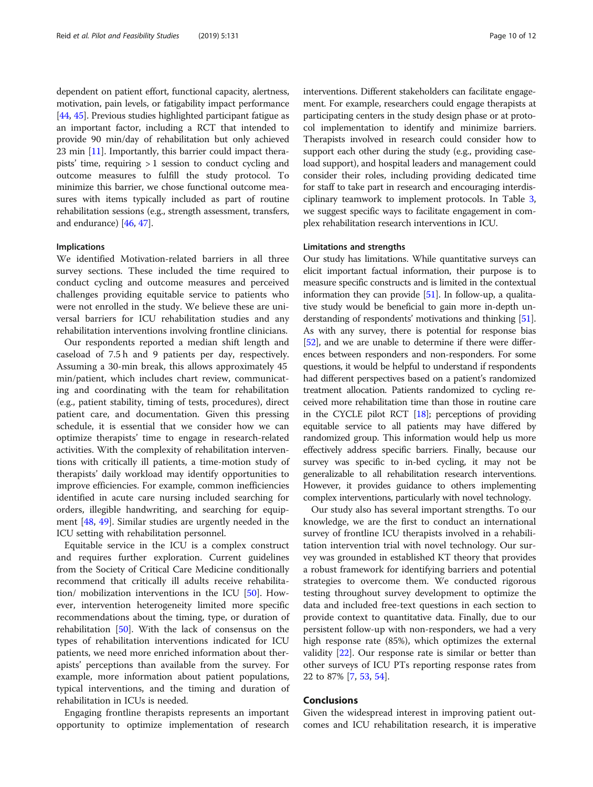dependent on patient effort, functional capacity, alertness, motivation, pain levels, or fatigability impact performance [[44](#page-11-0), [45\]](#page-11-0). Previous studies highlighted participant fatigue as an important factor, including a RCT that intended to provide 90 min/day of rehabilitation but only achieved 23 min [[11](#page-10-0)]. Importantly, this barrier could impact therapists' time, requiring  $> 1$  session to conduct cycling and outcome measures to fulfill the study protocol. To minimize this barrier, we chose functional outcome measures with items typically included as part of routine rehabilitation sessions (e.g., strength assessment, transfers, and endurance) [[46](#page-11-0), [47\]](#page-11-0).

### Implications

We identified Motivation-related barriers in all three survey sections. These included the time required to conduct cycling and outcome measures and perceived challenges providing equitable service to patients who were not enrolled in the study. We believe these are universal barriers for ICU rehabilitation studies and any rehabilitation interventions involving frontline clinicians.

Our respondents reported a median shift length and caseload of 7.5 h and 9 patients per day, respectively. Assuming a 30-min break, this allows approximately 45 min/patient, which includes chart review, communicating and coordinating with the team for rehabilitation (e.g., patient stability, timing of tests, procedures), direct patient care, and documentation. Given this pressing schedule, it is essential that we consider how we can optimize therapists' time to engage in research-related activities. With the complexity of rehabilitation interventions with critically ill patients, a time-motion study of therapists' daily workload may identify opportunities to improve efficiencies. For example, common inefficiencies identified in acute care nursing included searching for orders, illegible handwriting, and searching for equipment [\[48](#page-11-0), [49](#page-11-0)]. Similar studies are urgently needed in the ICU setting with rehabilitation personnel.

Equitable service in the ICU is a complex construct and requires further exploration. Current guidelines from the Society of Critical Care Medicine conditionally recommend that critically ill adults receive rehabilitation/ mobilization interventions in the ICU [\[50\]](#page-11-0). However, intervention heterogeneity limited more specific recommendations about the timing, type, or duration of rehabilitation [\[50\]](#page-11-0). With the lack of consensus on the types of rehabilitation interventions indicated for ICU patients, we need more enriched information about therapists' perceptions than available from the survey. For example, more information about patient populations, typical interventions, and the timing and duration of rehabilitation in ICUs is needed.

Engaging frontline therapists represents an important opportunity to optimize implementation of research interventions. Different stakeholders can facilitate engagement. For example, researchers could engage therapists at participating centers in the study design phase or at protocol implementation to identify and minimize barriers. Therapists involved in research could consider how to support each other during the study (e.g., providing caseload support), and hospital leaders and management could consider their roles, including providing dedicated time for staff to take part in research and encouraging interdisciplinary teamwork to implement protocols. In Table [3](#page-8-0), we suggest specific ways to facilitate engagement in complex rehabilitation research interventions in ICU.

# Limitations and strengths

Our study has limitations. While quantitative surveys can elicit important factual information, their purpose is to measure specific constructs and is limited in the contextual information they can provide  $[51]$ . In follow-up, a qualitative study would be beneficial to gain more in-depth understanding of respondents' motivations and thinking [\[51](#page-11-0)]. As with any survey, there is potential for response bias [[52](#page-11-0)], and we are unable to determine if there were differences between responders and non-responders. For some questions, it would be helpful to understand if respondents had different perspectives based on a patient's randomized treatment allocation. Patients randomized to cycling received more rehabilitation time than those in routine care in the CYCLE pilot RCT [\[18\]](#page-11-0); perceptions of providing equitable service to all patients may have differed by randomized group. This information would help us more effectively address specific barriers. Finally, because our survey was specific to in-bed cycling, it may not be generalizable to all rehabilitation research interventions. However, it provides guidance to others implementing complex interventions, particularly with novel technology.

Our study also has several important strengths. To our knowledge, we are the first to conduct an international survey of frontline ICU therapists involved in a rehabilitation intervention trial with novel technology. Our survey was grounded in established KT theory that provides a robust framework for identifying barriers and potential strategies to overcome them. We conducted rigorous testing throughout survey development to optimize the data and included free-text questions in each section to provide context to quantitative data. Finally, due to our persistent follow-up with non-responders, we had a very high response rate (85%), which optimizes the external validity [[22\]](#page-11-0). Our response rate is similar or better than other surveys of ICU PTs reporting response rates from 22 to 87% [\[7](#page-10-0), [53](#page-11-0), [54](#page-11-0)].

# Conclusions

Given the widespread interest in improving patient outcomes and ICU rehabilitation research, it is imperative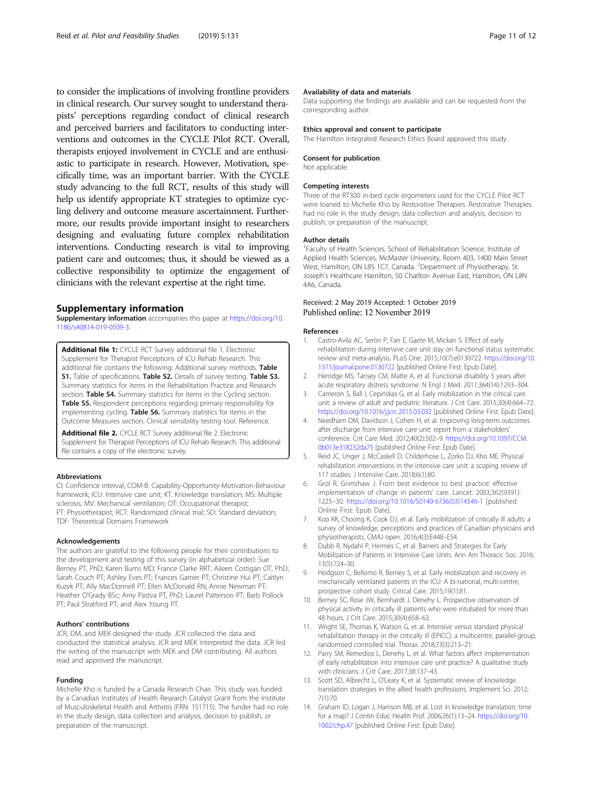<span id="page-10-0"></span>to consider the implications of involving frontline providers in clinical research. Our survey sought to understand therapists' perceptions regarding conduct of clinical research and perceived barriers and facilitators to conducting interventions and outcomes in the CYCLE Pilot RCT. Overall, therapists enjoyed involvement in CYCLE and are enthusiastic to participate in research. However, Motivation, specifically time, was an important barrier. With the CYCLE study advancing to the full RCT, results of this study will help us identify appropriate KT strategies to optimize cycling delivery and outcome measure ascertainment. Furthermore, our results provide important insight to researchers designing and evaluating future complex rehabilitation interventions. Conducting research is vital to improving patient care and outcomes; thus, it should be viewed as a collective responsibility to optimize the engagement of clinicians with the relevant expertise at the right time.

## Supplementary information

Supplementary information accompanies this paper at [https://doi.org/10.](https://doi.org/10.1186/s40814-019-0509-3) [1186/s40814-019-0509-3.](https://doi.org/10.1186/s40814-019-0509-3)

Additional file 1: CYCLE RCT Survey additional file 1. Electronic Supplement for Therapist Perceptions of ICU Rehab Research. This additional file contains the following: Additional survey methods. Table S1. Table of specifications. Table S2. Details of survey testing. Table S3. Summary statistics for items in the Rehabilitation Practice and Research section. Table S4. Summary statistics for items in the Cycling section. Table S5. Respondent perceptions regarding primary responsibility for implementing cycling. Table S6. Summary statistics for items in the Outcome Measures section. Clinical sensibility testing tool. Reference.

Additional file 2. CYCLE RCT Survey additional file 2. Electronic Supplement for Therapist Perceptions of ICU Rehab Research. This additional file contains a copy of the electronic survey.

#### Abbreviations

CI: Confidence interval; COM-B: Capability-Opportunity-Motivation-Behaviour framework; ICU: Intensive care unit; KT: Knowledge translation; MS: Multiple sclerosis; MV: Mechanical ventilation; OT: Occupational therapist; PT: Physiotherapist; RCT: Randomized clinical trial; SD: Standard deviation; TDF: Theoretical Domains Framework

#### Acknowledgements

The authors are grateful to the following people for their contributions to the development and testing of this survey (in alphabetical order): Sue Berney PT, PhD; Karen Burns MD; France Clarke RRT; Aileen Costigan OT, PhD; Sarah Couch PT; Ashley Eves PT; Frances Garner PT; Christine Hui PT; Caitlyn Kuzyk PT; Ally MacDonnell PT; Ellen McDonald RN; Annie Newman PT; Heather O'Grady BSc; Amy Pastva PT, PhD; Laurel Patterson PT; Barb Pollock PT; Paul Stratford PT; and Alex Young PT.

#### Authors' contributions

JCR, DM, and MEK designed the study. JCR collected the data and conducted the statistical analysis. JCR and MEK interpreted the data. JCR led the writing of the manuscript with MEK and DM contributing. All authors read and approved the manuscript.

#### Funding

Michelle Kho is funded by a Canada Research Chair. This study was funded by a Canadian Institutes of Health Research Catalyst Grant from the Institute of Musculoskeletal Health and Arthritis (FRN: 151715). The funder had no role in the study design, data collection and analysis, decision to publish, or preparation of the manuscript.

#### Availability of data and materials

Data supporting the findings are available and can be requested from the corresponding author.

#### Ethics approval and consent to participate

The Hamilton Integrated Research Ethics Board approved this study.

### Consent for publication

Not applicable.

#### Competing interests

Three of the RT300 in-bed cycle ergometers used for the CYCLE Pilot RCT were loaned to Michelle Kho by Restorative Therapies. Restorative Therapies had no role in the study design, data collection and analysis, decision to publish, or preparation of the manuscript.

#### Author details

1 Faculty of Health Sciences, School of Rehabilitation Science, Institute of Applied Health Sciences, McMaster University, Room 403, 1400 Main Street West, Hamilton, ON L8S 1C7, Canada. <sup>2</sup>Department of Physiotherapy, St. Joseph's Healthcare Hamilton, 50 Charlton Avenue East, Hamilton, ON L8N 4A6, Canada.

# Received: 2 May 2019 Accepted: 1 October 2019 Published online: 12 November 2019

#### References

- 1. Castro-Avila AC, Serón P, Fan E, Gaete M, Mickan S. Effect of early rehabilitation during intensive care unit stay on functional status systematic review and meta-analysis. PLoS One. 2015;10(7):e0130722. [https://doi.org/10.](https://doi.org/10.1371/journal.pone.0130722) [1371/journal.pone.0130722](https://doi.org/10.1371/journal.pone.0130722) [published Online First: Epub Date].
- 2. Herridge MS, Tansey CM, Matte A, et al. Functional disability 5 years after acute respiratory distress syndrome. N Engl J Med. 2011;364(14):1293–304.
- 3. Cameron S, Ball I, Cepinskas G, et al. Early mobilization in the critical care unit: a review of adult and pediatric literature. J Crit Care. 2015;30(4):664–72. <https://doi.org/10.1016/j.jcrc.2015.03.032> [published Online First: Epub Date].
- 4. Needham DM, Davidson J, Cohen H, et al. Improving long-term outcomes after discharge from intensive care unit: report from a stakeholders' conference. Crit Care Med. 2012;40(2):502–9. [https://doi.org/10.1097/CCM.](https://doi.org/10.1097/CCM.0b013e318232da75) [0b013e318232da75](https://doi.org/10.1097/CCM.0b013e318232da75) [published Online First: Epub Date].
- Reid JC, Unger J, McCaskell D, Childerhose L, Zorko DJ, Kho ME. Physical rehabilitation interventions in the intensive care unit: a scoping review of 117 studies. J Intensive Care. 2018;6(1):80.
- 6. Grol R, Grimshaw J. From best evidence to best practice: effective implementation of change in patients' care. Lancet. 2003;362(9391): 1225–30. [https://doi.org/10.1016/S0140-6736\(03\)14546-1](https://doi.org/10.1016/S0140-6736(03)14546-1) [published Online First: Epub Date].
- 7. Koo KK, Choong K, Cook DJ, et al. Early mobilization of critically ill adults: a survey of knowledge, perceptions and practices of Canadian physicians and physiotherapists. CMAJ open. 2016;4(3):E448–E54.
- 8. Dubb R, Nydahl P, Hermes C, et al. Barriers and Strategies for Early Mobilization of Patients in Intensive Care Units. Ann Am Thoracic Soc. 2016; 13(5):724–30.
- 9. Hodgson C, Bellomo R, Berney S, et al. Early mobilization and recovery in mechanically ventilated patients in the ICU: A bi-national, multi-centre, prospective cohort study. Critical Care. 2015;19(1):81.
- 10. Berney SC, Rose JW, Bernhardt J, Denehy L. Prospective observation of physical activity in critically ill patients who were intubated for more than 48 hours. J Crit Care. 2015;30(4):658–63.
- 11. Wright SE, Thomas K, Watson G, et al. Intensive versus standard physical rehabilitation therapy in the critically ill (EPICC): a multicentre, parallel-group, randomised controlled trial. Thorax. 2018;73(3):213–21.
- 12. Parry SM, Remedios L, Denehy L, et al. What factors affect implementation of early rehabilitation into intensive care unit practice? A qualitative study with clinicians. J Crit Care. 2017;38:137–43.
- 13. Scott SD, Albrecht L, O'Leary K, et al. Systematic review of knowledge translation strategies in the allied health professions. Implement Sci. 2012; 7(1):70.
- 14. Graham ID, Logan J, Harrison MB, et al. Lost in knowledge translation: time for a map? J Contin Educ Health Prof. 2006;26(1):13–24. [https://doi.org/10.](https://doi.org/10.1002/chp.47) [1002/chp.47](https://doi.org/10.1002/chp.47) [published Online First: Epub Date].